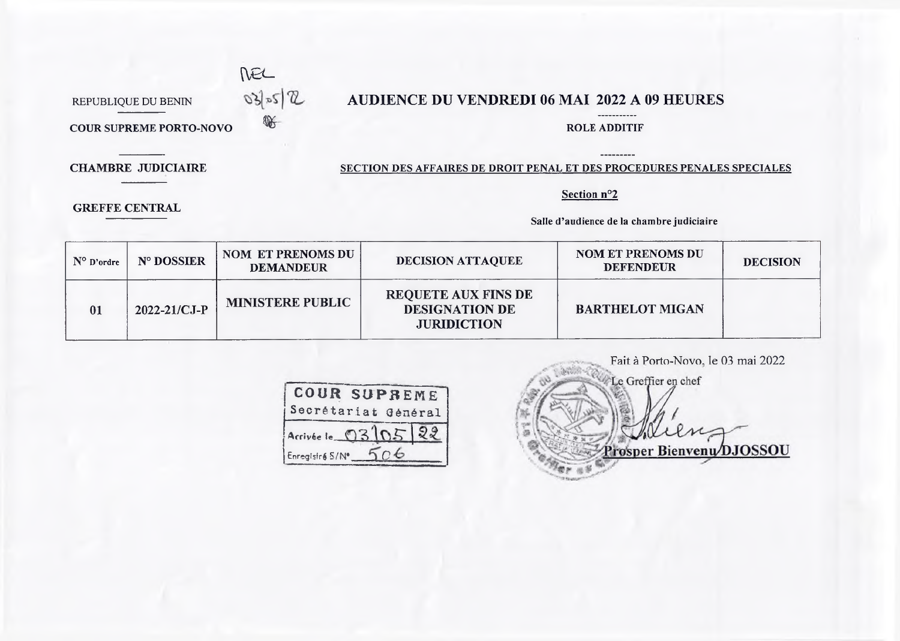

## REPUBLIQUE DU BENIN  $\mathbb{R}$   $\mathbb{R}$  **AUDIENCE DU VENDREDI 06 MAI 2022 A 09 HEURES**

**COUR SUPREME PORTO-NOVO COUR SUPREME PORTO-NOVO** 

 $---$ 

-----------

**GREFFE CENTRAL**

## **CHAMBRE JUDICIAIRE SECTION DES AFFAIRES DE DROIT PENAL ET DES PROCEDURES PENALES SPECIALES**

**Section n°2**

**Salle d'audience de la chambre judiciaire**

| $N^{\circ}$ D'ordre | N° DOSSIER         | <b>NOM ET PRENOMS DU</b><br><b>DEMANDEUR</b> | <b>DECISION ATTAQUEE</b>                                                  | <b>NOM ET PRENOMS DU</b><br><b>DEFENDEUR</b> | <b>DECISION</b> |
|---------------------|--------------------|----------------------------------------------|---------------------------------------------------------------------------|----------------------------------------------|-----------------|
| 01                  | $2022 - 21/CJ - P$ | <b>MINISTERE PUBLIC</b>                      | <b>REQUETE AUX FINS DE</b><br><b>DESIGNATION DE</b><br><b>JURIDICTION</b> | <b>BARTHELOT MIGAN</b>                       |                 |

| <b>COUR SUPREME</b><br>Secrétariat Général |
|--------------------------------------------|
| Acrivée le 03 02                           |
| Enregistr& S/N*                            |

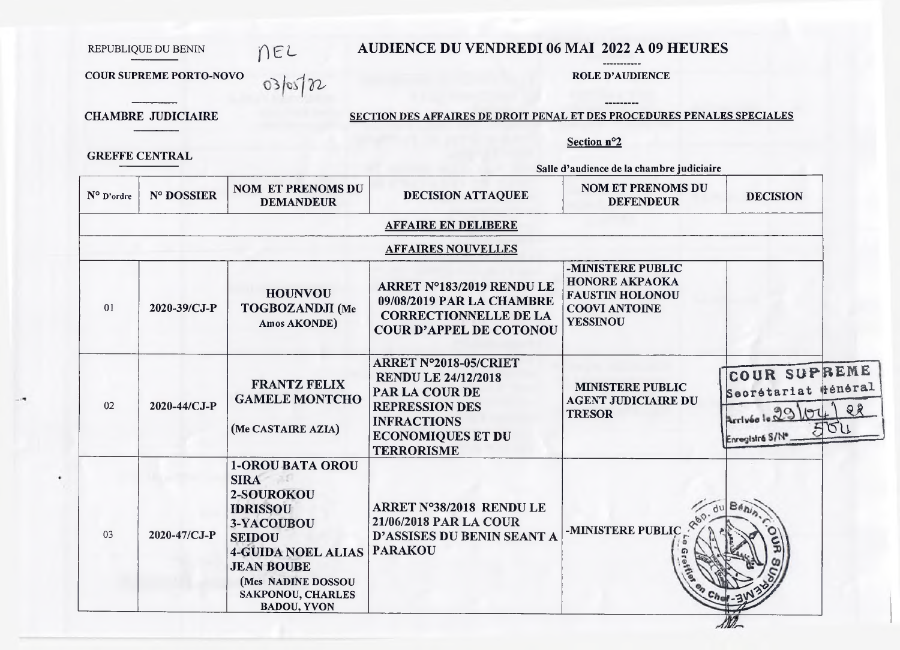# AUDIENCE DU VENDREDI 06 MAI 2022 A 09 HEURES

#### **ROLE D'AUDIENCE**

----------

**COUR SUPREME PORTO-NOVO** 

nee<br>nee

**CHAMBRE JUDICIAIRE** 

**GREFFE CENTRAL** 

REPUBLIQUE DU BENIN

## SECTION DES AFFAIRES DE DROIT PENAL ET DES PROCEDURES PENALES SPECIALES

### Section nº2

Salle d'audience de la chambre judiciaire

| N° D'ordre | N° DOSSIER   | <b>NOM ET PRENOMS DU</b><br><b>DEMANDEUR</b>                                                                                                                                                                                     | DECISION ATTAQUEE                                                                                                                                                     | <b>NOM ET PRENOMS DU</b><br><b>DEFENDEUR</b>                                                                    | <b>DECISION</b>                                                                         |
|------------|--------------|----------------------------------------------------------------------------------------------------------------------------------------------------------------------------------------------------------------------------------|-----------------------------------------------------------------------------------------------------------------------------------------------------------------------|-----------------------------------------------------------------------------------------------------------------|-----------------------------------------------------------------------------------------|
|            |              |                                                                                                                                                                                                                                  | <b>AFFAIRE EN DELIBERE</b>                                                                                                                                            |                                                                                                                 |                                                                                         |
|            |              |                                                                                                                                                                                                                                  | <b>AFFAIRES NOUVELLES</b>                                                                                                                                             |                                                                                                                 |                                                                                         |
| 01         | 2020-39/CJ-P | <b>HOUNVOU</b><br>TOGBOZANDJI (Me<br>Amos AKONDE)                                                                                                                                                                                | ARRET N°183/2019 RENDU LE<br>09/08/2019 PAR LA CHAMBRE<br><b>CORRECTIONNELLE DE LA</b><br><b>COUR D'APPEL DE COTONOU</b>                                              | -MINISTERE PUBLIC<br><b>HONORE AKPAOKA</b><br><b>FAUSTIN HOLONOU</b><br><b>COOVI ANTOINE</b><br><b>YESSINOU</b> |                                                                                         |
| 02         | 2020-44/CJ-P | <b>FRANTZ FELIX</b><br><b>GAMELE MONTCHO</b><br>(Me CASTAIRE AZIA)                                                                                                                                                               | ARRET N°2018-05/CRIET<br><b>RENDU LE 24/12/2018</b><br>PAR LA COUR DE<br><b>REPRESSION DES</b><br><b>INFRACTIONS</b><br><b>ECONOMIQUES ET DU</b><br><b>TERRORISME</b> | <b>MINISTERE PUBLIC</b><br><b>AGENT JUDICIAIRE DU</b><br><b>TRESOR</b>                                          | COUR SUPREME<br>Secrétariat Hénéral<br>28<br>Arrivée le 29/07<br>501<br>Enregistrá S/Nº |
| 03         | 2020-47/CJ-P | <b>1-OROU BATA OROU</b><br><b>SIRA</b><br>2-SOUROKOU<br><b>IDRISSOU</b><br>3-YACOUBOU<br><b>SEIDOU</b><br><b>4-GUIDA NOEL ALIAS</b><br><b>JEAN BOUBE</b><br>(Mes NADINE DOSSOU<br><b>SAKPONOU, CHARLES</b><br><b>BADOU, YVON</b> | ARRET N°38/2018 RENDU LE<br>21/06/2018 PAR LA COUR<br>D'ASSISES DU BENIN SEANT A<br><b>PARAKOU</b>                                                                    | -MINISTERE PUBLIC                                                                                               | Béhi                                                                                    |